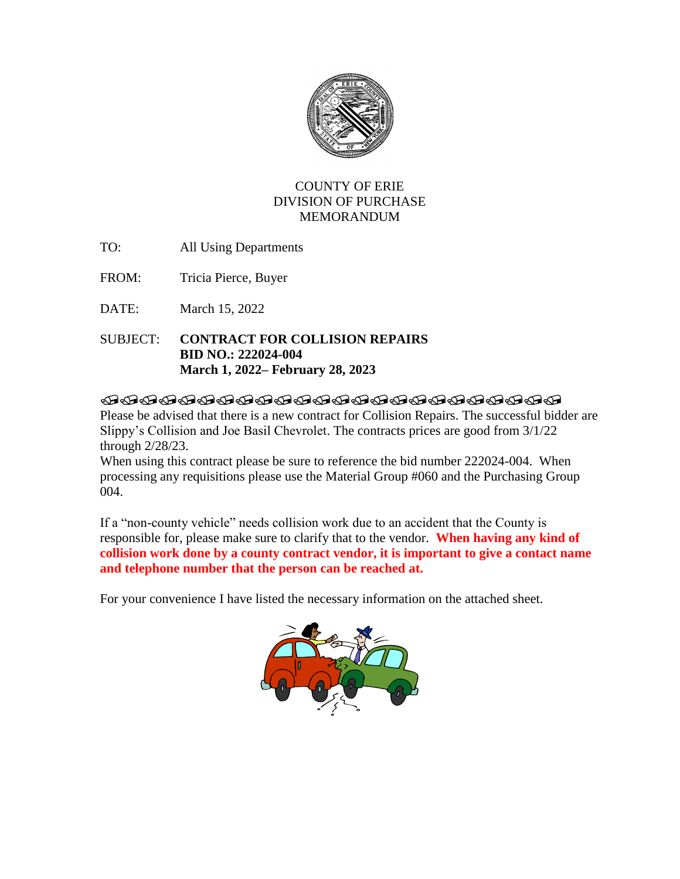

## COUNTY OF ERIE DIVISION OF PURCHASE MEMORANDUM

- TO: All Using Departments
- FROM: Tricia Pierce, Buyer

DATE: March 15, 2022

SUBJECT: **CONTRACT FOR COLLISION REPAIRS BID NO.: 222024-004 March 1, 2022– February 28, 2023**

## **@@@@@@@@@@@@@@@@@@@@@@@**

Please be advised that there is a new contract for Collision Repairs. The successful bidder are Slippy's Collision and Joe Basil Chevrolet. The contracts prices are good from 3/1/22 through 2/28/23.

When using this contract please be sure to reference the bid number 222024-004. When processing any requisitions please use the Material Group #060 and the Purchasing Group 004.

If a "non-county vehicle" needs collision work due to an accident that the County is responsible for, please make sure to clarify that to the vendor. **When having any kind of collision work done by a county contract vendor, it is important to give a contact name and telephone number that the person can be reached at.** 

For your convenience I have listed the necessary information on the attached sheet.